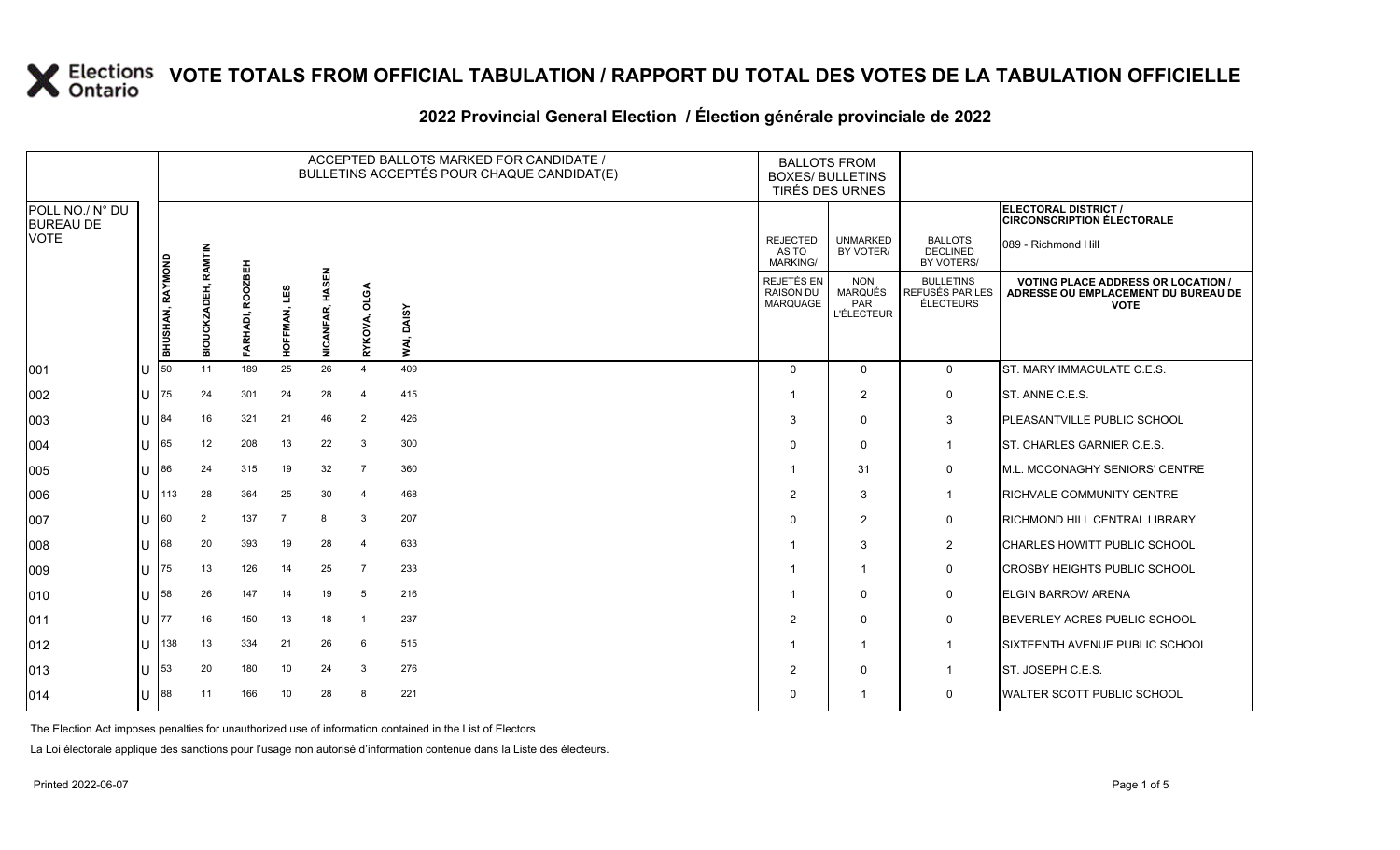#### **2022 Provincial General Election / Élection générale provinciale de 2022**

|                                     |   |                  |                            |                  |                |                 | ACCEPTED BALLOTS MARKED FOR CANDIDATE /<br>BULLETINS ACCEPTÉS POUR CHAQUE CANDIDAT(E) | <b>BOXES/ BULLETINS</b> | <b>BALLOTS FROM</b><br>TIRÉS DES URNES      |                                                          |                                                  |                                                                                                 |
|-------------------------------------|---|------------------|----------------------------|------------------|----------------|-----------------|---------------------------------------------------------------------------------------|-------------------------|---------------------------------------------|----------------------------------------------------------|--------------------------------------------------|-------------------------------------------------------------------------------------------------|
| POLL NO./ N° DU<br><b>BUREAU DE</b> |   |                  |                            |                  |                |                 |                                                                                       |                         |                                             |                                                          |                                                  | ELECTORAL DISTRICT /<br><b>CIRCONSCRIPTION ÉLECTORALE</b>                                       |
| <b>VOTE</b>                         |   |                  |                            |                  |                |                 |                                                                                       |                         | <b>REJECTED</b><br>AS TO<br><b>MARKING/</b> | <b>UNMARKED</b><br>BY VOTER/                             | <b>BALLOTS</b><br><b>DECLINED</b><br>BY VOTERS/  | 089 - Richmond Hill                                                                             |
|                                     |   | BHUSHAN, RAYMOND | <b>BIOUCKZADEH, RAMTIN</b> | FARHADI, ROOZBEH | HOFFMAN, LES   | NICANFAR, HASEN | <b>OLGA</b><br>RYKOVA,                                                                | WAI, DAISY              | <b>REJETÉS EN</b><br>RAISON DU<br>MARQUAGE  | <b>NON</b><br><b>MARQUÉS</b><br>PAR<br><b>L'ÉLECTEUR</b> | <b>BULLETINS</b><br>REFUSÉS PAR LES<br>ÉLECTEURS | <b>VOTING PLACE ADDRESS OR LOCATION /</b><br>ADRESSE OU EMPLACEMENT DU BUREAU DE<br><b>VOTE</b> |
| 001                                 |   | 50               | 11                         | 189              | 25             | 26              | $\overline{4}$                                                                        | 409                     | $\Omega$                                    | $\overline{0}$                                           | $\mathbf 0$                                      | ST. MARY IMMACULATE C.E.S.                                                                      |
| 002                                 |   | 75               | 24                         | 301              | 24             | 28              | $\overline{4}$                                                                        | 415                     |                                             | $\overline{c}$                                           | 0                                                | ST. ANNE C.E.S.                                                                                 |
| 003                                 |   | 84               | 16                         | 321              | 21             | 46              | $\overline{2}$                                                                        | 426                     | 3                                           | $\mathbf 0$                                              | 3                                                | PLEASANTVILLE PUBLIC SCHOOL                                                                     |
| 004                                 |   | 165              | 12                         | 208              | 13             | 22              | 3                                                                                     | 300                     | $\Omega$                                    | $\Omega$                                                 | $\mathbf{1}$                                     | ST. CHARLES GARNIER C.E.S.                                                                      |
| 005                                 |   | 86               | 24                         | 315              | 19             | 32              | $\overline{7}$                                                                        | 360                     |                                             | 31                                                       | 0                                                | M.L. MCCONAGHY SENIORS' CENTRE                                                                  |
| 006                                 | U | 113              | 28                         | 364              | 25             | 30              | $\overline{4}$                                                                        | 468                     | 2                                           | 3                                                        | $\overline{1}$                                   | <b>RICHVALE COMMUNITY CENTRE</b>                                                                |
| 007                                 |   | 160              | $\overline{2}$             | 137              | $\overline{7}$ | 8               | 3                                                                                     | 207                     | $\Omega$                                    | $\overline{2}$                                           | 0                                                | <b>RICHMOND HILL CENTRAL LIBRARY</b>                                                            |
| 008                                 |   | 68               | 20                         | 393              | 19             | 28              | $\overline{4}$                                                                        | 633                     |                                             | 3                                                        | $\overline{2}$                                   | <b>CHARLES HOWITT PUBLIC SCHOOL</b>                                                             |
| 009                                 |   | 75               | 13                         | 126              | 14             | 25              | $\overline{7}$                                                                        | 233                     |                                             |                                                          | $\mathbf 0$                                      | <b>CROSBY HEIGHTS PUBLIC SCHOOL</b>                                                             |
| 010                                 |   | 58               | 26                         | 147              | 14             | 19              | 5                                                                                     | 216                     |                                             | $\Omega$                                                 | 0                                                | <b>ELGIN BARROW ARENA</b>                                                                       |
| 011                                 |   | 77               | 16                         | 150              | 13             | 18              | $\overline{1}$                                                                        | 237                     | $\overline{2}$                              | $\mathbf 0$                                              | 0                                                | BEVERLEY ACRES PUBLIC SCHOOL                                                                    |
| 012                                 |   | 138              | 13                         | 334              | 21             | 26              | 6                                                                                     | 515                     |                                             | 1                                                        | $\mathbf{1}$                                     | <b>SIXTEENTH AVENUE PUBLIC SCHOOL</b>                                                           |
| 013                                 |   | 53               | 20                         | 180              | 10             | 24              | $\mathbf{3}$                                                                          | 276                     | $\overline{2}$                              | $\mathbf 0$                                              | $\overline{1}$                                   | ST. JOSEPH C.E.S.                                                                               |
| 014                                 |   | 88               | 11                         | 166              | 10             | 28              | -8                                                                                    | 221                     | $\Omega$                                    |                                                          | $\mathbf 0$                                      | <b>WALTER SCOTT PUBLIC SCHOOL</b>                                                               |

The Election Act imposes penalties for unauthorized use of information contained in the List of Electors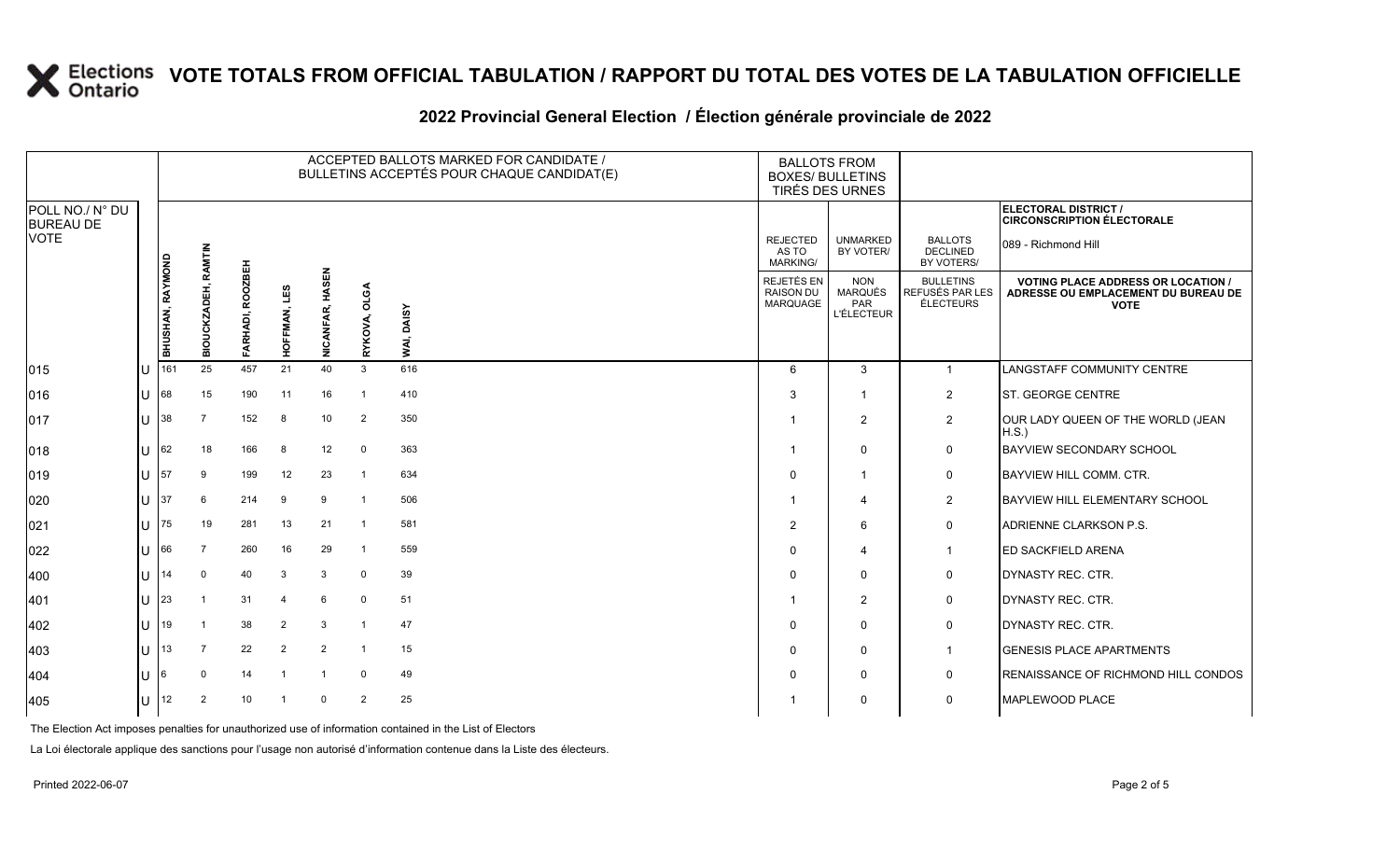#### **2022 Provincial General Election / Élection générale provinciale de 2022**

|                                     |     |                  | ACCEPTED BALLOTS MARKED FOR CANDIDATE /<br><b>BALLOTS FROM</b><br>BULLETINS ACCEPTÉS POUR CHAQUE CANDIDAT(E)<br><b>BOXES/ BULLETINS</b><br>TIRÉS DES URNES |                  |                 |                              |                 |            |                                             |                                                   |                                                  |                                                                                                 |
|-------------------------------------|-----|------------------|------------------------------------------------------------------------------------------------------------------------------------------------------------|------------------|-----------------|------------------------------|-----------------|------------|---------------------------------------------|---------------------------------------------------|--------------------------------------------------|-------------------------------------------------------------------------------------------------|
| POLL NO./ N° DU<br><b>BUREAU DE</b> |     |                  |                                                                                                                                                            |                  |                 |                              |                 |            |                                             |                                                   |                                                  | ELECTORAL DISTRICT /<br><b>CIRCONSCRIPTION ÉLECTORALE</b>                                       |
| <b>VOTE</b>                         |     |                  | <b>RAMTIN</b>                                                                                                                                              |                  |                 |                              |                 |            | <b>REJECTED</b><br>AS TO<br><b>MARKING/</b> | <b>UNMARKED</b><br>BY VOTER/                      | <b>BALLOTS</b><br><b>DECLINED</b><br>BY VOTERS/  | 089 - Richmond Hill                                                                             |
|                                     |     | BHUSHAN, RAYMOND | BIOUCKZADEH,                                                                                                                                               | FARHADI, ROOZBEH | ΓES<br>HOFFMAN, | <b>SEN</b><br>≨<br>NICANFAR, | OLGA<br>RYKOVA, | WAI, DAISY | REJETÉS EN<br>RAISON DU<br><b>MARQUAGE</b>  | <b>NON</b><br>MARQUÉS<br>PAR<br><b>L'ÉLECTEUR</b> | <b>BULLETINS</b><br>REFUSÉS PAR LES<br>ÉLECTEURS | <b>VOTING PLACE ADDRESS OR LOCATION /</b><br>ADRESSE OU EMPLACEMENT DU BUREAU DE<br><b>VOTE</b> |
| 015                                 | IU  | 161              | 25                                                                                                                                                         | 457              | 21              | 40                           | $\mathbf{3}$    | 616        | 6                                           | 3                                                 | $\mathbf{1}$                                     | LANGSTAFF COMMUNITY CENTRE                                                                      |
| 016                                 | IU  | 68               | 15                                                                                                                                                         | 190              | 11              | 16                           | $\overline{1}$  | 410        | 3                                           | -1                                                | $\overline{2}$                                   | ST. GEORGE CENTRE                                                                               |
| 017                                 | ΠT  | 38               | 7                                                                                                                                                          | 152              | 8               | 10                           | 2               | 350        |                                             | 2                                                 | $\overline{2}$                                   | OUR LADY QUEEN OF THE WORLD (JEAN<br>H.S.                                                       |
| 018                                 | IU  | 62               | 18                                                                                                                                                         | 166              | 8               | 12                           | $\mathbf 0$     | 363        |                                             | 0                                                 | 0                                                | <b>BAYVIEW SECONDARY SCHOOL</b>                                                                 |
| 019                                 | IU  | 57               | 9                                                                                                                                                          | 199              | 12              | 23                           | $\overline{1}$  | 634        | $\mathbf 0$                                 |                                                   | 0                                                | <b>BAYVIEW HILL COMM. CTR.</b>                                                                  |
| 020                                 | IП  | 37               | 6                                                                                                                                                          | 214              | 9               | 9                            | $\overline{1}$  | 506        |                                             | 4                                                 | $\overline{2}$                                   | <b>BAYVIEW HILL ELEMENTARY SCHOOL</b>                                                           |
| 021                                 | ΙU  | 75               | 19                                                                                                                                                         | 281              | 13              | 21                           | $\mathbf{1}$    | 581        | $\overline{2}$                              | 6                                                 | $\mathbf 0$                                      | ADRIENNE CLARKSON P.S.                                                                          |
| 022                                 | IU  | 66               | 7                                                                                                                                                          | 260              | 16              | 29                           | $\mathbf{1}$    | 559        | 0                                           | 4                                                 | $\mathbf{1}$                                     | <b>ED SACKFIELD ARENA</b>                                                                       |
| 400                                 | Ш   | 14               | $\mathbf 0$                                                                                                                                                | 40               | 3               | 3                            | $\mathbf 0$     | 39         | 0                                           | $\Omega$                                          | 0                                                | DYNASTY REC. CTR.                                                                               |
| 401                                 | lU  | 23               | -1                                                                                                                                                         | 31               | $\overline{4}$  | 6                            | $\mathbf 0$     | 51         |                                             | $\overline{2}$                                    | 0                                                | DYNASTY REC. CTR.                                                                               |
| 402                                 | ΙU  | 19               | -1                                                                                                                                                         | 38               | $\overline{2}$  | 3                            | $\mathbf{1}$    | 47         | 0                                           | 0                                                 | 0                                                | DYNASTY REC. CTR.                                                                               |
| 403                                 | IП  | 13               | $\overline{7}$                                                                                                                                             | 22               | $\overline{2}$  | $\overline{2}$               | $\mathbf{1}$    | 15         | 0                                           | 0                                                 | $\mathbf{1}$                                     | <b>GENESIS PLACE APARTMENTS</b>                                                                 |
| 404                                 | IU. | 6                | $\mathbf 0$                                                                                                                                                | 14               | -1              | $\overline{1}$               | 0               | 49         | 0                                           | 0                                                 | 0                                                | RENAISSANCE OF RICHMOND HILL CONDOS                                                             |
| 405                                 | IU. | 12               | 2                                                                                                                                                          | 10               | -1              | $\Omega$                     | 2               | 25         |                                             | 0                                                 | $\mathbf 0$                                      | <b>MAPLEWOOD PLACE</b>                                                                          |

The Election Act imposes penalties for unauthorized use of information contained in the List of Electors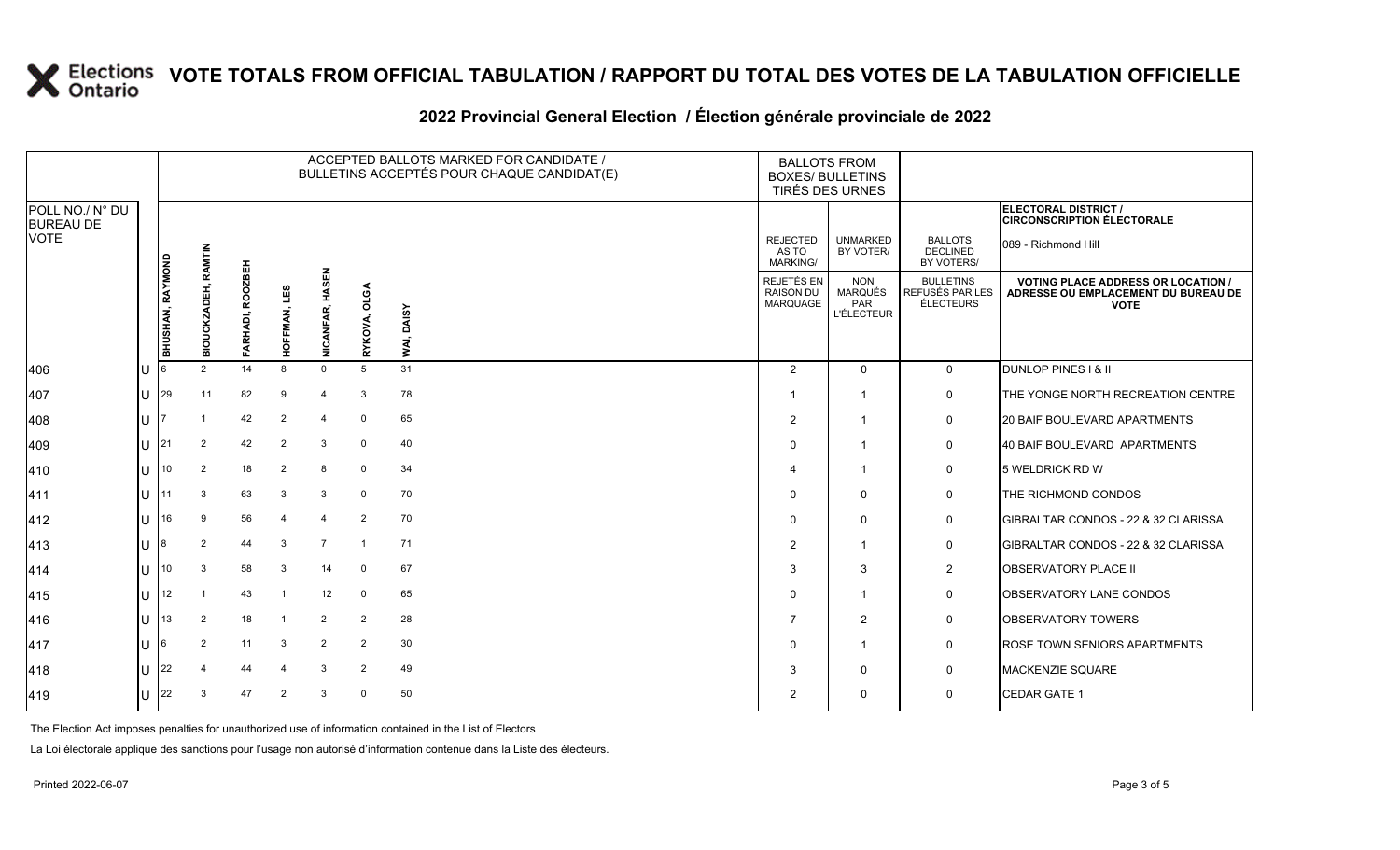#### **2022 Provincial General Election / Élection générale provinciale de 2022**

|                                     |              |                  |                            |                  |                 |                                 | ACCEPTED BALLOTS MARKED FOR CANDIDATE /<br>BULLETINS ACCEPTÉS POUR CHAQUE CANDIDAT(E) | <b>BALLOTS FROM</b><br><b>BOXES/ BULLETINS</b><br>TIRÉS DES URNES |                                      |                                                          |                                                  |                                                                                                 |
|-------------------------------------|--------------|------------------|----------------------------|------------------|-----------------|---------------------------------|---------------------------------------------------------------------------------------|-------------------------------------------------------------------|--------------------------------------|----------------------------------------------------------|--------------------------------------------------|-------------------------------------------------------------------------------------------------|
| POLL NO./ N° DU<br><b>BUREAU DE</b> |              |                  |                            |                  |                 |                                 |                                                                                       |                                                                   |                                      |                                                          |                                                  | ELECTORAL DISTRICT /<br><b>CIRCONSCRIPTION ÉLECTORALE</b>                                       |
| VOTE                                |              |                  |                            |                  |                 |                                 |                                                                                       |                                                                   | <b>REJECTED</b><br>AS TO<br>MARKING/ | <b>UNMARKED</b><br>BY VOTER/                             | <b>BALLOTS</b><br><b>DECLINED</b><br>BY VOTERS/  | 089 - Richmond Hill                                                                             |
|                                     |              | BHUSHAN, RAYMOND | <b>BIOUCKZADEH, RAMTIN</b> | FARHADI, ROOZBEH | LES<br>HOFFMAN, | 룹<br>ळ<br>Ë<br><b>NICANFAR,</b> | OLGA<br>RYKOVA,                                                                       | <b>DAISY</b><br>WAI,                                              | REJETÉS EN<br>RAISON DU<br>MARQUAGE  | <b>NON</b><br><b>MARQUÉS</b><br>PAR<br><b>L'ÉLECTEUR</b> | <b>BULLETINS</b><br>REFUSÉS PAR LES<br>ÉLECTEURS | <b>VOTING PLACE ADDRESS OR LOCATION /</b><br>ADRESSE OU EMPLACEMENT DU BUREAU DE<br><b>VOTE</b> |
| 406                                 |              |                  | 2                          | 14               | 8               | $\mathbf 0$                     | 5                                                                                     | 31                                                                | 2                                    | $\Omega$                                                 | $\mathbf{0}$                                     | <b>DUNLOP PINES 1 &amp; II</b>                                                                  |
| 407                                 | U            | 29               | 11                         | 82               | 9               | $\overline{4}$                  | 3                                                                                     | 78                                                                |                                      |                                                          | 0                                                | THE YONGE NORTH RECREATION CENTRE                                                               |
| 408                                 | U            |                  |                            | 42               | 2               |                                 | $\mathbf 0$                                                                           | 65                                                                | $\overline{2}$                       | $\overline{\mathbf{1}}$                                  | 0                                                | <b>20 BAIF BOULEVARD APARTMENTS</b>                                                             |
| 409                                 | U            | 21               | 2                          | 42               | $\overline{2}$  | 3                               | $\mathbf 0$                                                                           | 40                                                                | $\Omega$                             | $\overline{\mathbf{1}}$                                  | $\mathbf 0$                                      | 40 BAIF BOULEVARD APARTMENTS                                                                    |
| 410                                 | U            | 10               | 2                          | 18               | 2               | 8                               | $\mathbf 0$                                                                           | 34                                                                | 4                                    | $\overline{\mathbf{1}}$                                  | 0                                                | 5 WELDRICK RD W                                                                                 |
| 411                                 | U            | 11               | 3                          | 63               | 3               | 3                               | $\mathbf 0$                                                                           | 70                                                                | $\Omega$                             | $\Omega$                                                 | 0                                                | THE RICHMOND CONDOS                                                                             |
| 412                                 | U            | 16               | 9                          | 56               | 4               | $\overline{4}$                  | 2                                                                                     | 70                                                                | $\Omega$                             | $\Omega$                                                 | 0                                                | <b>IGIBRALTAR CONDOS - 22 &amp; 32 CLARISSA</b>                                                 |
| 413                                 | U            | 8                | 2                          | 44               | 3               | $\overline{7}$                  | $\overline{1}$                                                                        | 71                                                                | $\overline{2}$                       | $\overline{\mathbf{1}}$                                  | 0                                                | <b>IGIBRALTAR CONDOS - 22 &amp; 32 CLARISSA</b>                                                 |
| 414                                 | U            | 10               | 3                          | 58               | 3               | 14                              | $\Omega$                                                                              | 67                                                                | 3                                    | 3                                                        | $\overline{2}$                                   | <b>OBSERVATORY PLACE II</b>                                                                     |
| 415                                 | $\mathbf{U}$ | 12               |                            | 43               | $\overline{1}$  | 12                              | $\mathbf 0$                                                                           | 65                                                                | $\Omega$                             | $\overline{\mathbf{1}}$                                  | 0                                                | <b>OBSERVATORY LANE CONDOS</b>                                                                  |
| 416                                 | U            | 13               | 2                          | 18               | -1              | 2                               | $\overline{2}$                                                                        | 28                                                                | 7                                    | $\overline{2}$                                           | 0                                                | <b>OBSERVATORY TOWERS</b>                                                                       |
| 417                                 | U            |                  | 2                          | 11               | 3               | 2                               | 2                                                                                     | 30                                                                | $\Omega$                             | $\overline{\mathbf{1}}$                                  | 0                                                | <b>ROSE TOWN SENIORS APARTMENTS</b>                                                             |
| 418                                 |              | 22               |                            | 44               | $\overline{4}$  | 3                               | 2                                                                                     | 49                                                                | 3                                    | $\Omega$                                                 | 0                                                | MACKENZIE SQUARE                                                                                |
| 419                                 | U            | 22               | 3                          | 47               | 2               | 3                               | $\Omega$                                                                              | 50                                                                | $\overline{2}$                       | $\Omega$                                                 | $\mathbf 0$                                      | <b>CEDAR GATE 1</b>                                                                             |

The Election Act imposes penalties for unauthorized use of information contained in the List of Electors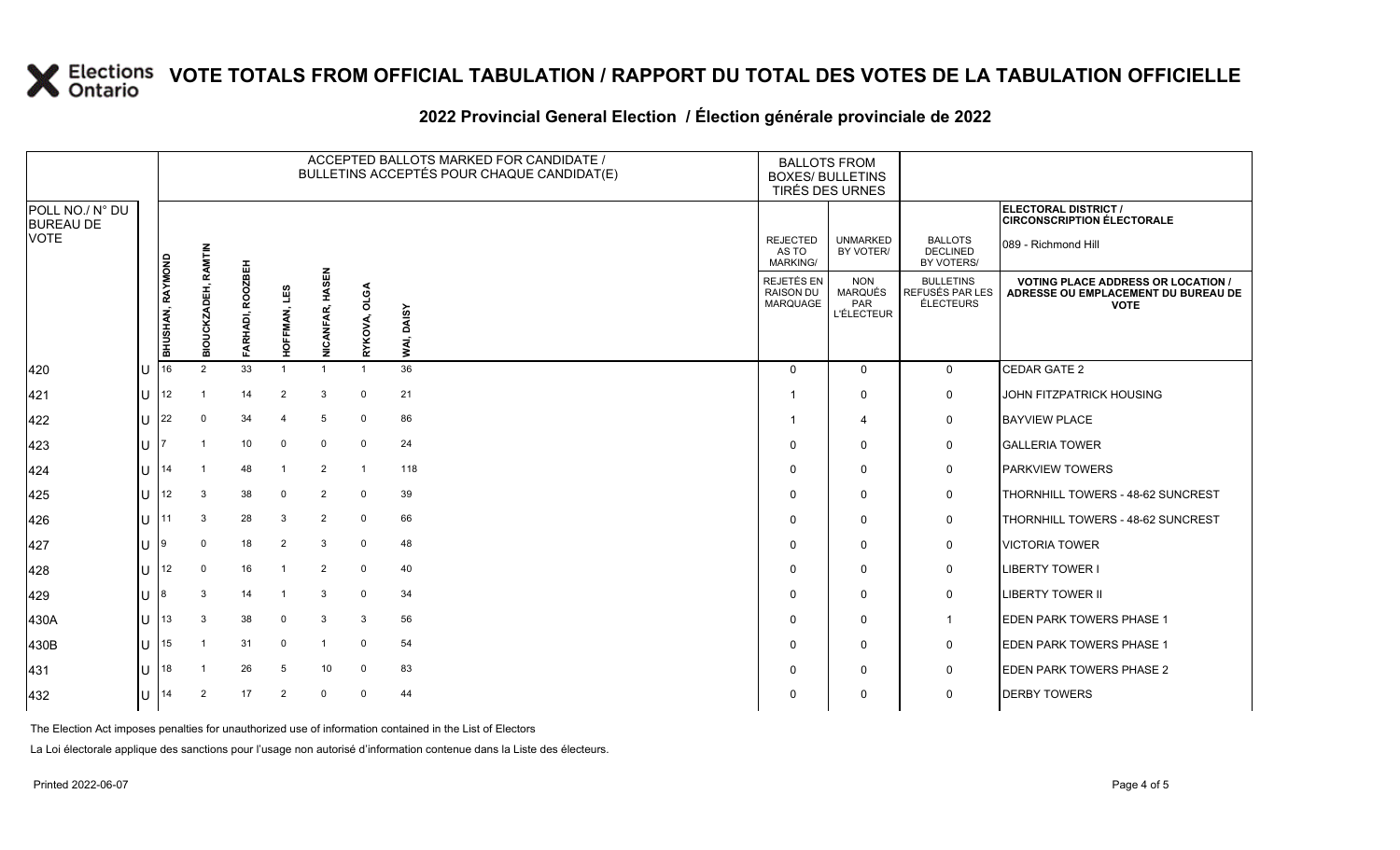#### **2022 Provincial General Election / Élection générale provinciale de 2022**

|                                     |    |                  |                     |                  |                 |                        | ACCEPTED BALLOTS MARKED FOR CANDIDATE /<br>BULLETINS ACCEPTÉS POUR CHAQUE CANDIDAT(E) | <b>BALLOTS FROM</b><br><b>BOXES/ BULLETINS</b><br>TIRÉS DES URNES |                                             |                                                                 |                                                         |                                                                                                 |
|-------------------------------------|----|------------------|---------------------|------------------|-----------------|------------------------|---------------------------------------------------------------------------------------|-------------------------------------------------------------------|---------------------------------------------|-----------------------------------------------------------------|---------------------------------------------------------|-------------------------------------------------------------------------------------------------|
| POLL NO./ N° DU<br><b>BUREAU DE</b> |    |                  |                     |                  |                 |                        |                                                                                       |                                                                   |                                             |                                                                 |                                                         | <b>ELECTORAL DISTRICT /</b><br><b>CIRCONSCRIPTION ÉLECTORALE</b>                                |
| <b>VOTE</b>                         |    |                  |                     |                  |                 |                        |                                                                                       |                                                                   | <b>REJECTED</b><br>AS TO<br><b>MARKING/</b> | <b>UNMARKED</b><br>BY VOTER/                                    | <b>BALLOTS</b><br><b>DECLINED</b><br>BY VOTERS/         | 089 - Richmond Hill                                                                             |
|                                     |    | BHUSHAN, RAYMOND | BIOUCKZADEH, RAMTIN | FARHADI, ROOZBEH | LES<br>HOFFMAN, | <b>NICANFAR, HASEN</b> | <b>OLGA</b><br>RYKOVA,                                                                | DAISY<br>NAI,                                                     | REJETÉS EN<br><b>RAISON DU</b><br>MARQUAGE  | <b>NON</b><br><b>MARQUÉS</b><br><b>PAR</b><br><b>L'ÉLECTEUR</b> | <b>BULLETINS</b><br>REFUSÉS PAR LES<br><b>ÉLECTEURS</b> | <b>VOTING PLACE ADDRESS OR LOCATION /</b><br>ADRESSE OU EMPLACEMENT DU BUREAU DE<br><b>VOTE</b> |
| 420                                 | lυ | 16               | 2                   | 33               |                 |                        | $\overline{1}$                                                                        | 36                                                                | $\Omega$                                    | $\Omega$                                                        | $\mathbf{0}$                                            | <b>CEDAR GATE 2</b>                                                                             |
| 421                                 | lU | 12               |                     | 14               | 2               | 3                      | $\mathbf 0$                                                                           | 21                                                                |                                             | $\mathbf 0$                                                     | $\mathsf{O}$                                            | JOHN FITZPATRICK HOUSING                                                                        |
| 422                                 | lu | 22               | $\Omega$            | 34               |                 | 5                      | $\mathbf 0$                                                                           | 86                                                                |                                             | $\overline{4}$                                                  | $\mathsf{O}$                                            | <b>BAYVIEW PLACE</b>                                                                            |
| 423                                 | ΙU |                  |                     | 10               | 0               | 0                      | 0                                                                                     | 24                                                                | $\Omega$                                    | $\mathbf 0$                                                     | $\mathsf{O}$                                            | <b>GALLERIA TOWER</b>                                                                           |
| 424                                 | lu | 14               |                     | 48               | $\overline{1}$  | $\overline{2}$         | $\overline{1}$                                                                        | 118                                                               | 0                                           | $\mathbf 0$                                                     | $\mathsf{O}$                                            | <b>PARKVIEW TOWERS</b>                                                                          |
| 425                                 | lu | 12               | 3                   | 38               | $\Omega$        | $\overline{2}$         | $\mathbf 0$                                                                           | 39                                                                | $\Omega$                                    | $\mathbf 0$                                                     | $\mathbf 0$                                             | THORNHILL TOWERS - 48-62 SUNCREST                                                               |
| 426                                 | lu | 11               | 3                   | 28               | 3               | $\overline{2}$         | $\mathbf 0$                                                                           | 66                                                                | $\Omega$                                    | $\mathbf 0$                                                     | $\mathsf{O}$                                            | THORNHILL TOWERS - 48-62 SUNCREST                                                               |
| 427                                 | lu | 9                | 0                   | 18               | 2               | 3                      | $\mathbf 0$                                                                           | 48                                                                | $\Omega$                                    | 0                                                               | 0                                                       | <b>VICTORIA TOWER</b>                                                                           |
| 428                                 | lυ | 12               | $\mathbf 0$         | 16               |                 | $\overline{2}$         | $\mathbf 0$                                                                           | 40                                                                | $\Omega$                                    | $\mathbf 0$                                                     | $\mathbf 0$                                             | <b>LIBERTY TOWER I</b>                                                                          |
| 429                                 | Ш  |                  | 3                   | 14               | -1              | 3                      | $\mathbf 0$                                                                           | 34                                                                | $\Omega$                                    | $\Omega$                                                        | $\mathbf 0$                                             | <b>LIBERTY TOWER II</b>                                                                         |
| 430A                                | lυ | 13               | 3                   | 38               | 0               | 3                      | 3                                                                                     | 56                                                                | $\Omega$                                    | 0                                                               | $\mathbf 1$                                             | <b>EDEN PARK TOWERS PHASE 1</b>                                                                 |
| 430B                                | lu | 15               |                     | 31               | $\Omega$        | -1                     | $\mathbf 0$                                                                           | 54                                                                | $\Omega$                                    | $\mathbf 0$                                                     | $\mathsf{O}$                                            | <b>EDEN PARK TOWERS PHASE 1</b>                                                                 |
| 431                                 | lu | 18               |                     | 26               | 5               | 10                     | $\mathbf 0$                                                                           | 83                                                                | $\Omega$                                    | $\mathbf 0$                                                     | $\mathbf 0$                                             | <b>EDEN PARK TOWERS PHASE 2</b>                                                                 |
| 432                                 | lU | 14               | $\overline{2}$      | 17               | 2               | $\mathbf 0$            | $\mathbf 0$                                                                           | 44                                                                | $\Omega$                                    | 0                                                               | $\mathbf 0$                                             | <b>DERBY TOWERS</b>                                                                             |

The Election Act imposes penalties for unauthorized use of information contained in the List of Electors